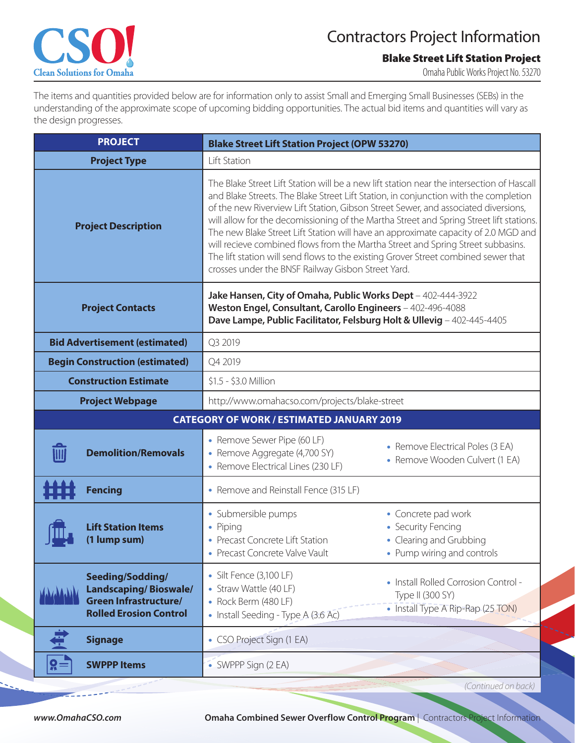

## Contractors Project Information

**Blake Street Lift Station Project**

Omaha Public Works Project No. 53270

The items and quantities provided below are for information only to assist Small and Emerging Small Businesses (SEBs) in the understanding of the approximate scope of upcoming bidding opportunities. The actual bid items and quantities will vary as the design progresses.

| <b>PROJECT</b>                                                                                                    | <b>Blake Street Lift Station Project (OPW 53270)</b>                                                                                                                                                                                                                                                                                                                                                                                                                                                                                                                                                                                                                                    |                                                                                                  |
|-------------------------------------------------------------------------------------------------------------------|-----------------------------------------------------------------------------------------------------------------------------------------------------------------------------------------------------------------------------------------------------------------------------------------------------------------------------------------------------------------------------------------------------------------------------------------------------------------------------------------------------------------------------------------------------------------------------------------------------------------------------------------------------------------------------------------|--------------------------------------------------------------------------------------------------|
| <b>Project Type</b>                                                                                               | Lift Station                                                                                                                                                                                                                                                                                                                                                                                                                                                                                                                                                                                                                                                                            |                                                                                                  |
| <b>Project Description</b>                                                                                        | The Blake Street Lift Station will be a new lift station near the intersection of Hascall<br>and Blake Streets. The Blake Street Lift Station, in conjunction with the completion<br>of the new Riverview Lift Station, Gibson Street Sewer, and associated diversions,<br>will allow for the decomissioning of the Martha Street and Spring Street lift stations.<br>The new Blake Street Lift Station will have an approximate capacity of 2.0 MGD and<br>will recieve combined flows from the Martha Street and Spring Street subbasins.<br>The lift station will send flows to the existing Grover Street combined sewer that<br>crosses under the BNSF Railway Gisbon Street Yard. |                                                                                                  |
| <b>Project Contacts</b>                                                                                           | Jake Hansen, City of Omaha, Public Works Dept - 402-444-3922<br>Weston Engel, Consultant, Carollo Engineers - 402-496-4088<br>Dave Lampe, Public Facilitator, Felsburg Holt & Ullevig - 402-445-4405                                                                                                                                                                                                                                                                                                                                                                                                                                                                                    |                                                                                                  |
| <b>Bid Advertisement (estimated)</b>                                                                              | Q3 2019                                                                                                                                                                                                                                                                                                                                                                                                                                                                                                                                                                                                                                                                                 |                                                                                                  |
| <b>Begin Construction (estimated)</b>                                                                             | Q4 2019                                                                                                                                                                                                                                                                                                                                                                                                                                                                                                                                                                                                                                                                                 |                                                                                                  |
| <b>Construction Estimate</b>                                                                                      | \$1.5 - \$3.0 Million                                                                                                                                                                                                                                                                                                                                                                                                                                                                                                                                                                                                                                                                   |                                                                                                  |
| <b>Project Webpage</b>                                                                                            | http://www.omahacso.com/projects/blake-street                                                                                                                                                                                                                                                                                                                                                                                                                                                                                                                                                                                                                                           |                                                                                                  |
| <b>CATEGORY OF WORK / ESTIMATED JANUARY 2019</b>                                                                  |                                                                                                                                                                                                                                                                                                                                                                                                                                                                                                                                                                                                                                                                                         |                                                                                                  |
| <b>Demolition/Removals</b>                                                                                        | • Remove Sewer Pipe (60 LF)<br>• Remove Aggregate (4,700 SY)<br>• Remove Electrical Lines (230 LF)                                                                                                                                                                                                                                                                                                                                                                                                                                                                                                                                                                                      | • Remove Electrical Poles (3 EA)<br>• Remove Wooden Culvert (1 EA)                               |
| <b>Fencing</b>                                                                                                    | • Remove and Reinstall Fence (315 LF)                                                                                                                                                                                                                                                                                                                                                                                                                                                                                                                                                                                                                                                   |                                                                                                  |
| <b>Lift Station Items</b><br>(1 lump sum)                                                                         | • Submersible pumps<br>• Piping<br>• Precast Concrete Lift Station<br>Precast Concrete Valve Vault                                                                                                                                                                                                                                                                                                                                                                                                                                                                                                                                                                                      | • Concrete pad work<br>• Security Fencing<br>• Clearing and Grubbing<br>Pump wiring and controls |
| Seeding/Sodding/<br><b>Landscaping/Bioswale/</b><br><b>Green Infrastructure/</b><br><b>Rolled Erosion Control</b> | • Silt Fence (3,100 LF)<br>• Straw Wattle (40 LF)<br>• Rock Berm (480 LF)<br>• Install Seeding - Type A (3.6 Ac)                                                                                                                                                                                                                                                                                                                                                                                                                                                                                                                                                                        | • Install Rolled Corrosion Control -<br>Type II (300 SY)<br>• Install Type A Rip-Rap (25 TON)    |
| <b>Signage</b>                                                                                                    | • CSO Project Sign (1 EA)                                                                                                                                                                                                                                                                                                                                                                                                                                                                                                                                                                                                                                                               |                                                                                                  |
| g=<br><b>SWPPP Items</b>                                                                                          | • SWPPP Sign (2 EA)                                                                                                                                                                                                                                                                                                                                                                                                                                                                                                                                                                                                                                                                     |                                                                                                  |
|                                                                                                                   |                                                                                                                                                                                                                                                                                                                                                                                                                                                                                                                                                                                                                                                                                         | (Continued on back)                                                                              |